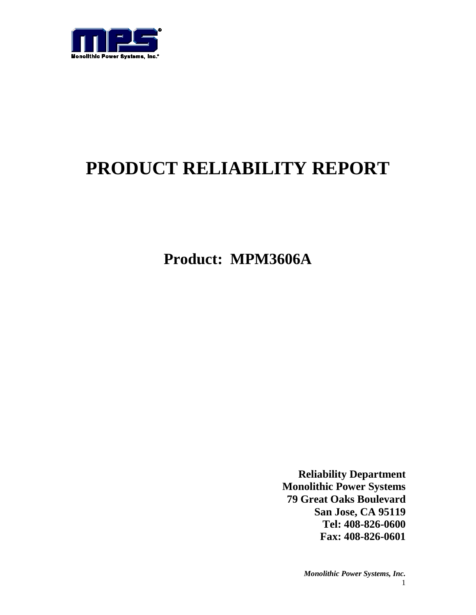

# **PRODUCT RELIABILITY REPORT**

**Product: MPM3606A**

**Reliability Department Monolithic Power Systems 79 Great Oaks Boulevard San Jose, CA 95119 Tel: 408-826-0600 Fax: 408-826-0601**

> *Monolithic Power Systems, Inc.* 1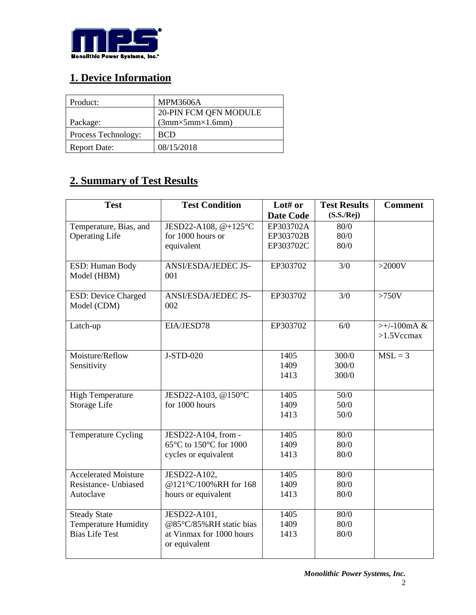

# **1. Device Information**

| Product:            | <b>MPM3606A</b>                 |
|---------------------|---------------------------------|
|                     | 20-PIN FCM QFN MODULE           |
| Package:            | $(3mm \times 5mm \times 1.6mm)$ |
| Process Technology: | <b>BCD</b>                      |
| <b>Report Date:</b> | 08/15/2018                      |

# **2. Summary of Test Results**

| <b>Test</b>                 | <b>Test Condition</b>    | Lot# or          | <b>Test Results</b> | <b>Comment</b> |
|-----------------------------|--------------------------|------------------|---------------------|----------------|
|                             |                          | <b>Date Code</b> | (S.S./Rej)          |                |
| Temperature, Bias, and      | JESD22-A108, @+125°C     | EP303702A        | 80/0                |                |
| <b>Operating Life</b>       | for 1000 hours or        | EP303702B        | 80/0                |                |
|                             | equivalent               | EP303702C        | 80/0                |                |
| ESD: Human Body             | ANSI/ESDA/JEDEC JS-      | EP303702         | 3/0                 | $>2000V$       |
| Model (HBM)                 | 001                      |                  |                     |                |
| <b>ESD: Device Charged</b>  | ANSI/ESDA/JEDEC JS-      | EP303702         | 3/0                 | $>750V$        |
| Model (CDM)                 | 002                      |                  |                     |                |
|                             |                          |                  |                     |                |
| Latch-up                    | EIA/JESD78               | EP303702         | 6/0                 | $>+/-100mA &$  |
|                             |                          |                  |                     | $>1.5$ Vccmax  |
| Moisture/Reflow             | J-STD-020                | 1405             | 300/0               | $MSL = 3$      |
| Sensitivity                 |                          | 1409             | 300/0               |                |
|                             |                          | 1413             | 300/0               |                |
|                             |                          |                  |                     |                |
| <b>High Temperature</b>     | JESD22-A103, @150°C      | 1405             | 50/0                |                |
| Storage Life                | for 1000 hours           | 1409             | 50/0                |                |
|                             |                          | 1413             | 50/0                |                |
|                             |                          |                  |                     |                |
| Temperature Cycling         | JESD22-A104, from -      | 1405             | 80/0                |                |
|                             | 65°C to 150°C for 1000   | 1409             | 80/0                |                |
|                             | cycles or equivalent     | 1413             | 80/0                |                |
| <b>Accelerated Moisture</b> | JESD22-A102,             | 1405             | 80/0                |                |
| Resistance- Unbiased        | @121°C/100%RH for 168    | 1409             | 80/0                |                |
| Autoclave                   | hours or equivalent      | 1413             | 80/0                |                |
|                             |                          |                  |                     |                |
| <b>Steady State</b>         | JESD22-A101,             | 1405             | 80/0                |                |
| <b>Temperature Humidity</b> | @85°C/85%RH static bias  | 1409             | 80/0                |                |
| <b>Bias Life Test</b>       | at Vinmax for 1000 hours | 1413             | 80/0                |                |
|                             | or equivalent            |                  |                     |                |
|                             |                          |                  |                     |                |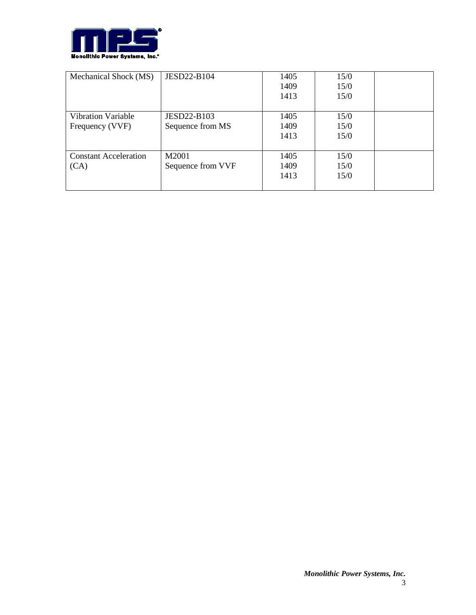

| Mechanical Shock (MS)        | <b>JESD22-B104</b> | 1405 | 15/0 |  |
|------------------------------|--------------------|------|------|--|
|                              |                    | 1409 | 15/0 |  |
|                              |                    | 1413 | 15/0 |  |
|                              |                    |      |      |  |
| <b>Vibration Variable</b>    | <b>JESD22-B103</b> | 1405 | 15/0 |  |
| Frequency (VVF)              | Sequence from MS   | 1409 | 15/0 |  |
|                              |                    | 1413 | 15/0 |  |
|                              |                    |      |      |  |
| <b>Constant Acceleration</b> | M2001              | 1405 | 15/0 |  |
| (CA)                         | Sequence from VVF  | 1409 | 15/0 |  |
|                              |                    | 1413 | 15/0 |  |
|                              |                    |      |      |  |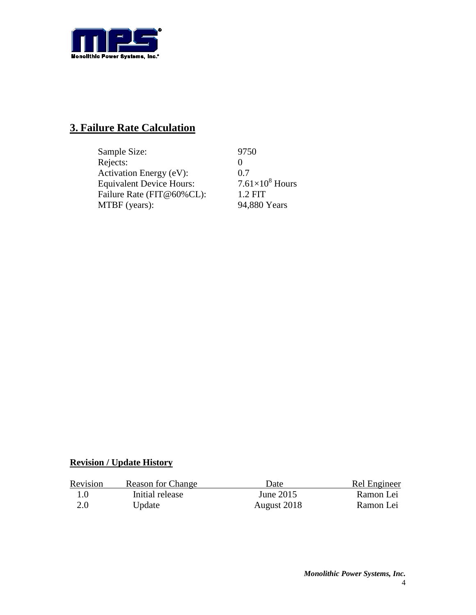

## **3. Failure Rate Calculation**

| Sample Size:                    | 9750                   |
|---------------------------------|------------------------|
| Rejects:                        |                        |
| Activation Energy (eV):         | 0.7                    |
| <b>Equivalent Device Hours:</b> | $7.61\times10^8$ Hours |
| Failure Rate (FIT@60%CL):       | $1.2$ FIT              |
| MTBF (years):                   | 94,880 Years           |

### **Revision / Update History**

| Revision | <b>Reason for Change</b> | Date        | Rel Engineer |
|----------|--------------------------|-------------|--------------|
| 1.0      | Initial release          | June 2015   | Ramon Lei    |
| 2.0      | Update                   | August 2018 | Ramon Lei    |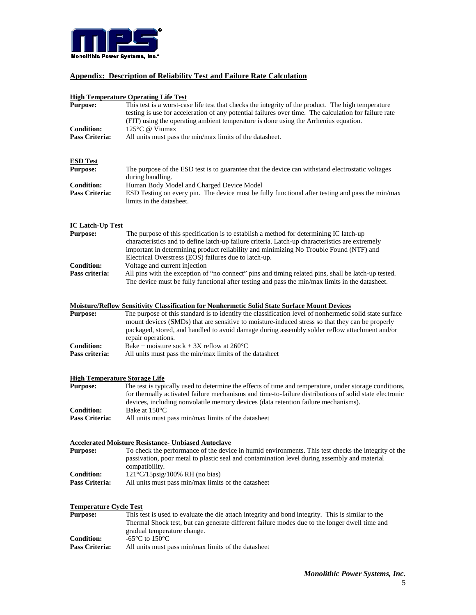

### **Appendix: Description of Reliability Test and Failure Rate Calculation**

### **High Temperature Operating Life Test**

|                                      | <u>High Temperature Operating Life Test</u>                                                                                                                                                  |
|--------------------------------------|----------------------------------------------------------------------------------------------------------------------------------------------------------------------------------------------|
| <b>Purpose:</b>                      | This test is a worst-case life test that checks the integrity of the product. The high temperature                                                                                           |
|                                      | testing is use for acceleration of any potential failures over time. The calculation for failure rate                                                                                        |
|                                      | (FIT) using the operating ambient temperature is done using the Arrhenius equation.                                                                                                          |
| <b>Condition:</b>                    | 125°C @ Vinmax                                                                                                                                                                               |
| Pass Criteria:                       | All units must pass the min/max limits of the datasheet.                                                                                                                                     |
|                                      |                                                                                                                                                                                              |
|                                      |                                                                                                                                                                                              |
| <b>ESD Test</b>                      |                                                                                                                                                                                              |
| <b>Purpose:</b>                      | The purpose of the ESD test is to guarantee that the device can withstand electrostatic voltages<br>during handling.                                                                         |
| <b>Condition:</b>                    | Human Body Model and Charged Device Model                                                                                                                                                    |
| Pass Criteria:                       | ESD Testing on every pin. The device must be fully functional after testing and pass the min/max<br>limits in the datasheet.                                                                 |
| <b>IC Latch-Up Test</b>              |                                                                                                                                                                                              |
| <b>Purpose:</b>                      | The purpose of this specification is to establish a method for determining IC latch-up                                                                                                       |
|                                      | characteristics and to define latch-up failure criteria. Latch-up characteristics are extremely                                                                                              |
|                                      | important in determining product reliability and minimizing No Trouble Found (NTF) and                                                                                                       |
|                                      | Electrical Overstress (EOS) failures due to latch-up.                                                                                                                                        |
| <b>Condition:</b>                    | Voltage and current injection                                                                                                                                                                |
| Pass criteria:                       | All pins with the exception of "no connect" pins and timing related pins, shall be latch-up tested.                                                                                          |
|                                      | The device must be fully functional after testing and pass the min/max limits in the datasheet.                                                                                              |
|                                      |                                                                                                                                                                                              |
|                                      | <b>Moisture/Reflow Sensitivity Classification for Nonhermetic Solid State Surface Mount Devices</b>                                                                                          |
| <b>Purpose:</b>                      | The purpose of this standard is to identify the classification level of nonhermetic solid state surface                                                                                      |
|                                      | mount devices (SMDs) that are sensitive to moisture-induced stress so that they can be properly                                                                                              |
|                                      | packaged, stored, and handled to avoid damage during assembly solder reflow attachment and/or                                                                                                |
|                                      | repair operations.                                                                                                                                                                           |
| <b>Condition:</b>                    | Bake + moisture sock + 3X reflow at $260^{\circ}$ C                                                                                                                                          |
| Pass criteria:                       | All units must pass the min/max limits of the datasheet                                                                                                                                      |
| <b>High Temperature Storage Life</b> |                                                                                                                                                                                              |
| <b>Purpose:</b>                      | The test is typically used to determine the effects of time and temperature, under storage conditions,                                                                                       |
|                                      | for thermally activated failure mechanisms and time-to-failure distributions of solid state electronic<br>devices, including nonvolatile memory devices (data retention failure mechanisms). |
| <b>Condition:</b>                    | Bake at 150°C                                                                                                                                                                                |
| Pass Criteria:                       | All units must pass min/max limits of the datasheet                                                                                                                                          |
|                                      |                                                                                                                                                                                              |
| <b>Purpose:</b>                      | <b>Accelerated Moisture Resistance- Unbiased Autoclave</b><br>To check the performance of the device in humid environments. This test checks the integrity of the                            |
|                                      | passivation, poor metal to plastic seal and contamination level during assembly and material                                                                                                 |
|                                      | compatibility.                                                                                                                                                                               |
| <b>Condition:</b>                    | $121^{\circ}C/15$ psig/100% RH (no bias)                                                                                                                                                     |
| Pass Criteria:                       | All units must pass min/max limits of the datasheet                                                                                                                                          |
|                                      |                                                                                                                                                                                              |
| <b>Temperature Cycle Test</b>        |                                                                                                                                                                                              |
| <b>Purpose:</b>                      | This test is used to evaluate the die attach integrity and bond integrity. This is similar to the                                                                                            |
|                                      | Thermal Shock test, but can generate different failure modes due to the longer dwell time and                                                                                                |
|                                      | gradual temperature change.                                                                                                                                                                  |
| <b>Condition:</b>                    | -65 $\rm{^{\circ}C}$ to 150 $\rm{^{\circ}C}$                                                                                                                                                 |
| Pass Criteria:                       | All units must pass min/max limits of the datasheet                                                                                                                                          |
|                                      |                                                                                                                                                                                              |